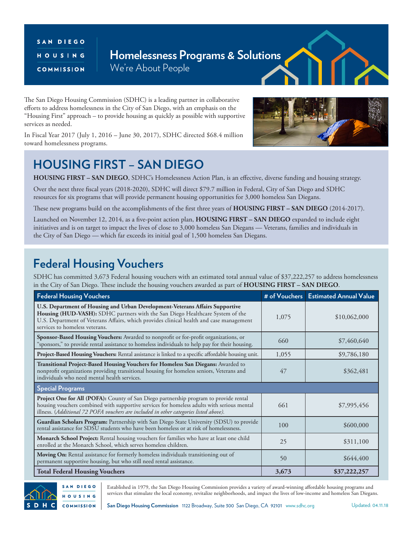#### SAN DIEGO HOUSING COMMISSION

#### **Homelessness Programs & Solutions** We're About People

The San Diego Housing Commission (SDHC) is a leading partner in collaborative efforts to address homelessness in the City of San Diego, with an emphasis on the "Housing First" approach – to provide housing as quickly as possible with supportive services as needed.

In Fiscal Year 2017 (July 1, 2016 – June 30, 2017), SDHC directed \$68.4 million toward homelessness programs.

# **HOUSING FIRST – SAN DIEGO**

**HOUSING FIRST – SAN DIEGO**, SDHC's Homelessness Action Plan, is an effective, diverse funding and housing strategy.

Over the next three fiscal years (2018-2020), SDHC will direct \$79.7 million in Federal, City of San Diego and SDHC resources for six programs that will provide permanent housing opportunities for 3,000 homeless San Diegans.

These new programs build on the accomplishments of the first three years of **HOUSING FIRST – SAN DIEGO** (2014-2017).

Launched on November 12, 2014, as a five-point action plan, **HOUSING FIRST – SAN DIEGO** expanded to include eight initiatives and is on target to impact the lives of close to 3,000 homeless San Diegans — Veterans, families and individuals in the City of San Diego — which far exceeds its initial goal of 1,500 homeless San Diegans.

### **Federal Housing Vouchers**

SDHC has committed 3,673 Federal housing vouchers with an estimated total annual value of \$37,222,257 to address homelessness in the City of San Diego. These include the housing vouchers awarded as part of **HOUSING FIRST – SAN DIEGO**.

| <b>Federal Housing Vouchers</b>                                                                                                                                                                                                                                                            |       | # of Vouchers   Estimated Annual Value |
|--------------------------------------------------------------------------------------------------------------------------------------------------------------------------------------------------------------------------------------------------------------------------------------------|-------|----------------------------------------|
| U.S. Department of Housing and Urban Development-Veterans Affairs Supportive<br>Housing (HUD-VASH): SDHC partners with the San Diego Healthcare System of the<br>U.S. Department of Veterans Affairs, which provides clinical health and case management<br>services to homeless veterans. | 1,075 | \$10,062,000                           |
| Sponsor-Based Housing Vouchers: Awarded to nonprofit or for-profit organizations, or<br>"sponsors," to provide rental assistance to homeless individuals to help pay for their housing.                                                                                                    | 660   | \$7,460,640                            |
| Project-Based Housing Vouchers: Rental assistance is linked to a specific affordable housing unit.                                                                                                                                                                                         | 1,055 | \$9,786,180                            |
| Transitional Project-Based Housing Vouchers for Homeless San Diegans: Awarded to<br>nonprofit organizations providing transitional housing for homeless seniors, Veterans and<br>individuals who need mental health services.                                                              | 47    | \$362,481                              |
| <b>Special Programs</b>                                                                                                                                                                                                                                                                    |       |                                        |
| <b>Project One for All (POFA):</b> County of San Diego partnership program to provide rental<br>housing vouchers combined with supportive services for homeless adults with serious mental<br>illness. (Additional 72 POFA vouchers are included in other categories listed above).        | 661   | \$7,995,456                            |
| Guardian Scholars Program: Partnership with San Diego State University (SDSU) to provide<br>rental assistance for SDSU students who have been homeless or at risk of homelessness.                                                                                                         | 100   | \$600,000                              |
| <b>Monarch School Project:</b> Rental housing vouchers for families who have at least one child<br>enrolled at the Monarch School, which serves homeless children.                                                                                                                         | 25    | \$311,100                              |
| Moving On: Rental assistance for formerly homeless individuals transitioning out of<br>permanent supportive housing, but who still need rental assistance.                                                                                                                                 | 50    | \$644,400                              |
| <b>Total Federal Housing Vouchers</b>                                                                                                                                                                                                                                                      | 3,673 | \$37,222,257                           |



Established in 1979, the San Diego Housing Commission provides a variety of award-winning affordable housing programs and services that stimulate the local economy, revitalize neighborhoods, and impact the lives of low-income and homeless San Diegans.